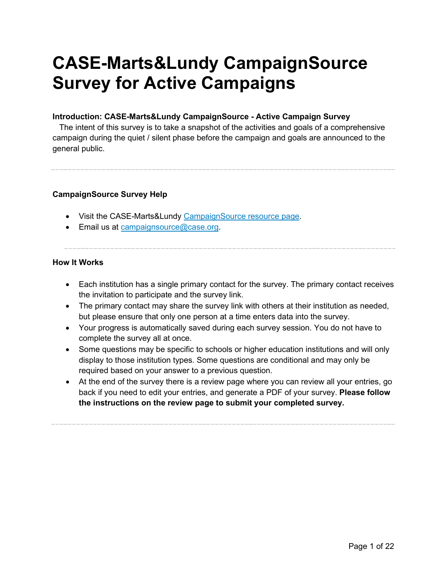# **CASE-Marts&Lundy CampaignSource Survey for Active Campaigns**

### **Introduction: CASE-Marts&Lundy CampaignSource - Active Campaign Survey**

The intent of this survey is to take a snapshot of the activities and goals of a comprehensive campaign during the quiet / silent phase before the campaign and goals are announced to the general public.

### **CampaignSource Survey Help**

- Visit the CASE-Marts&Lundy [CampaignSource resource page.](https://www.case.org/resources/case-martslundy-campaignsource)
- Email us at [campaignsource@case.org.](mailto:campaignsource@case.org?subject=CampaignSource%20Survey%20for%20Active%20Campaigns)

### **How It Works**

- Each institution has a single primary contact for the survey. The primary contact receives the invitation to participate and the survey link.
- The primary contact may share the survey link with others at their institution as needed, but please ensure that only one person at a time enters data into the survey.
- Your progress is automatically saved during each survey session. You do not have to complete the survey all at once.
- Some questions may be specific to schools or higher education institutions and will only display to those institution types. Some questions are conditional and may only be required based on your answer to a previous question.
- At the end of the survey there is a review page where you can review all your entries, go back if you need to edit your entries, and generate a PDF of your survey. **Please follow the instructions on the review page to submit your completed survey.**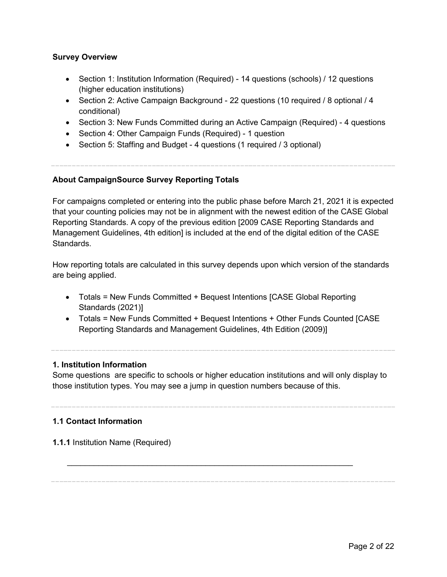### **Survey Overview**

- Section 1: Institution Information (Required) 14 questions (schools) / 12 questions (higher education institutions)
- Section 2: Active Campaign Background 22 questions (10 required / 8 optional / 4 conditional)
- Section 3: New Funds Committed during an Active Campaign (Required) 4 questions
- Section 4: Other Campaign Funds (Required) 1 question
- Section 5: Staffing and Budget 4 questions (1 required / 3 optional)

### **About CampaignSource Survey Reporting Totals**

For campaigns completed or entering into the public phase before March 21, 2021 it is expected that your counting policies may not be in alignment with the newest edition of the CASE Global Reporting Standards. A copy of the previous edition [2009 CASE Reporting Standards and Management Guidelines, 4th edition] is included at the end of the digital edition of the CASE Standards.

How reporting totals are calculated in this survey depends upon which version of the standards are being applied.

- Totals = New Funds Committed + Bequest Intentions [CASE Global Reporting Standards (2021)]
- Totals = New Funds Committed + Bequest Intentions + Other Funds Counted [CASE Reporting Standards and Management Guidelines, 4th Edition (2009)]

### **1. Institution Information**

Some questions are specific to schools or higher education institutions and will only display to those institution types. You may see a jump in question numbers because of this.

\_\_\_\_\_\_\_\_\_\_\_\_\_\_\_\_\_\_\_\_\_\_\_\_\_\_\_\_\_\_\_\_\_\_\_\_\_\_\_\_\_\_\_\_\_\_\_\_\_\_\_\_\_\_\_\_\_\_\_\_\_\_\_\_

### **1.1 Contact Information**

**1.1.1** Institution Name (Required)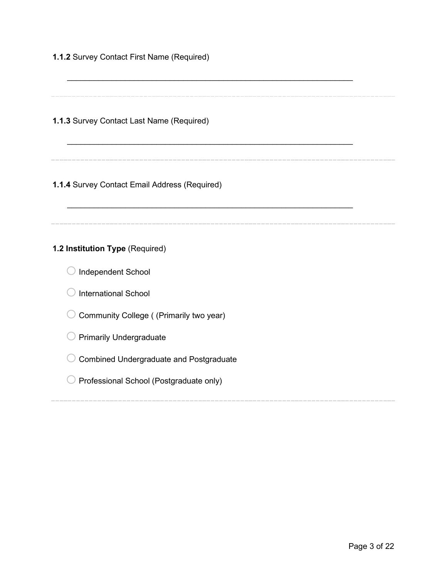| 1.1.2 Survey Contact First Name (Required)     |  |
|------------------------------------------------|--|
| 1.1.3 Survey Contact Last Name (Required)      |  |
| 1.1.4 Survey Contact Email Address (Required)  |  |
| 1.2 Institution Type (Required)                |  |
| Independent School                             |  |
| <b>International School</b>                    |  |
| Community College ((Primarily two year)        |  |
| <b>Primarily Undergraduate</b>                 |  |
| <b>Combined Undergraduate and Postgraduate</b> |  |
| Professional School (Postgraduate only)        |  |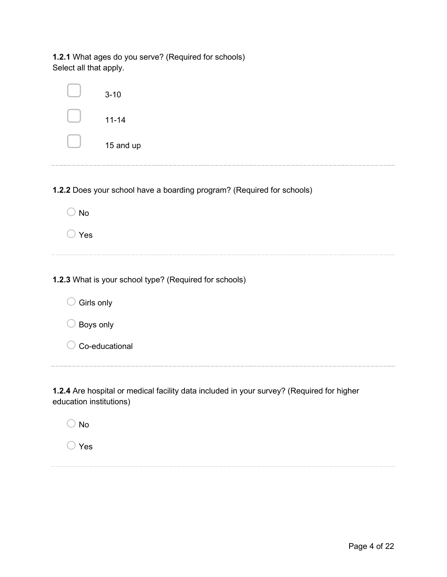**1.2.1** What ages do you serve? (Required for schools) Select all that apply.

|            | $3 - 10$                                                               |
|------------|------------------------------------------------------------------------|
|            | $11 - 14$                                                              |
|            | 15 and up                                                              |
|            | 1.2.2 Does your school have a boarding program? (Required for schools) |
| <b>No</b>  |                                                                        |
| Yes        |                                                                        |
|            |                                                                        |
|            | 1.2.3 What is your school type? (Required for schools)                 |
| Girls only |                                                                        |
| Boys only  |                                                                        |
|            | Co-educational                                                         |
|            |                                                                        |

**1.2.4** Are hospital or medical facility data included in your survey? (Required for higher education institutions)

| N٥ |
|----|
|    |

o Yes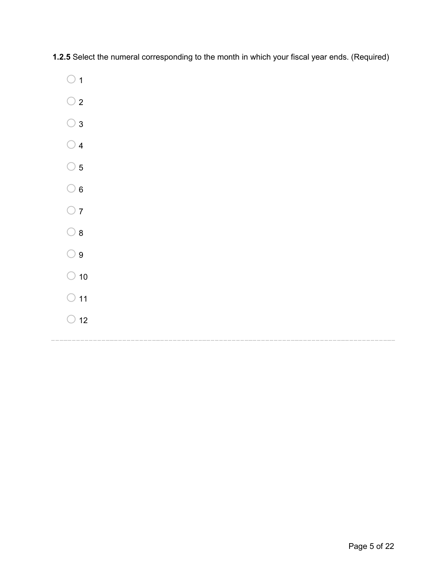**1.2.5** Select the numeral corresponding to the month in which your fiscal year ends. (Required)

- $\bigcirc$  1
- $\bigcirc$  2
- $\bigcirc$  3
- $\bigcirc$  4
- $\bigcirc$  5
- $\bigcirc$  6
- $\bigcirc$  7
- $\bigcirc$  8
- $\bigcirc$  9
- 
- $\bigcirc$  10
- $\bigcirc$  11
- $\bigcirc$  12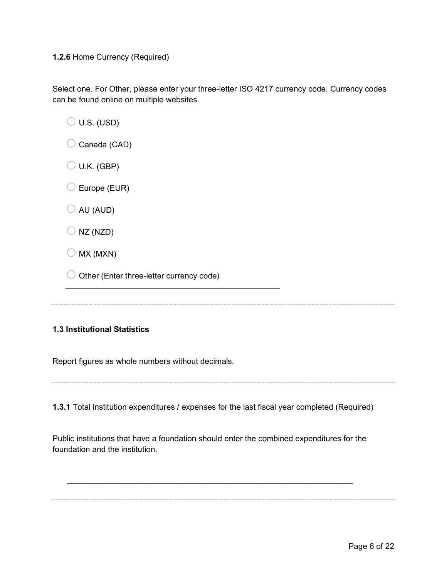#### **1.2.6** Home Currency (Required)

Select one. For Other, please enter your three-letter ISO 4217 currency code. Currency codes can be found online on multiple websites.

 $\bigcirc$  U.S. (USD)

- $\bigcirc$  Canada (CAD)
- $\bigcirc$  U.K. (GBP)
- $\bigcirc$  Europe (EUR)
- $\bigcirc$  AU (AUD)
- $\bigcirc$  NZ (NZD)
- $\bigcirc$  MX (MXN)
- $\bigcirc$  Other (Enter three-letter currency code)

 $\frac{1}{2}$  , and the set of the set of the set of the set of the set of the set of the set of the set of the set of the set of the set of the set of the set of the set of the set of the set of the set of the set of the set

### **1.3 Institutional Statistics**

Report figures as whole numbers without decimals.

**1.3.1** Total institution expenditures / expenses for the last fiscal year completed (Required)

Public institutions that have a foundation should enter the combined expenditures for the foundation and the institution.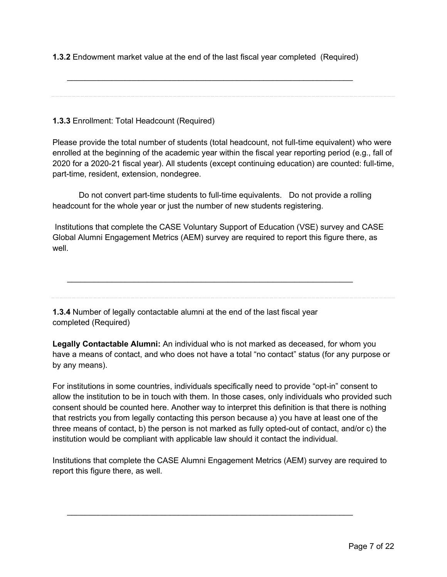**1.3.2** Endowment market value at the end of the last fiscal year completed (Required)

\_\_\_\_\_\_\_\_\_\_\_\_\_\_\_\_\_\_\_\_\_\_\_\_\_\_\_\_\_\_\_\_\_\_\_\_\_\_\_\_\_\_\_\_\_\_\_\_\_\_\_\_\_\_\_\_\_\_\_\_\_\_\_\_

**1.3.3** Enrollment: Total Headcount (Required)

Please provide the total number of students (total headcount, not full-time equivalent) who were enrolled at the beginning of the academic year within the fiscal year reporting period (e.g., fall of 2020 for a 2020-21 fiscal year). All students (except continuing education) are counted: full-time, part-time, resident, extension, nondegree.

 Do not convert part-time students to full-time equivalents. Do not provide a rolling headcount for the whole year or just the number of new students registering.

Institutions that complete the CASE Voluntary Support of Education (VSE) survey and CASE Global Alumni Engagement Metrics (AEM) survey are required to report this figure there, as well.

\_\_\_\_\_\_\_\_\_\_\_\_\_\_\_\_\_\_\_\_\_\_\_\_\_\_\_\_\_\_\_\_\_\_\_\_\_\_\_\_\_\_\_\_\_\_\_\_\_\_\_\_\_\_\_\_\_\_\_\_\_\_\_\_

**1.3.4** Number of legally contactable alumni at the end of the last fiscal year completed (Required)

**Legally Contactable Alumni:** An individual who is not marked as deceased, for whom you have a means of contact, and who does not have a total "no contact" status (for any purpose or by any means).

For institutions in some countries, individuals specifically need to provide "opt-in" consent to allow the institution to be in touch with them. In those cases, only individuals who provided such consent should be counted here. Another way to interpret this definition is that there is nothing that restricts you from legally contacting this person because a) you have at least one of the three means of contact, b) the person is not marked as fully opted-out of contact, and/or c) the institution would be compliant with applicable law should it contact the individual.

Institutions that complete the CASE Alumni Engagement Metrics (AEM) survey are required to report this figure there, as well.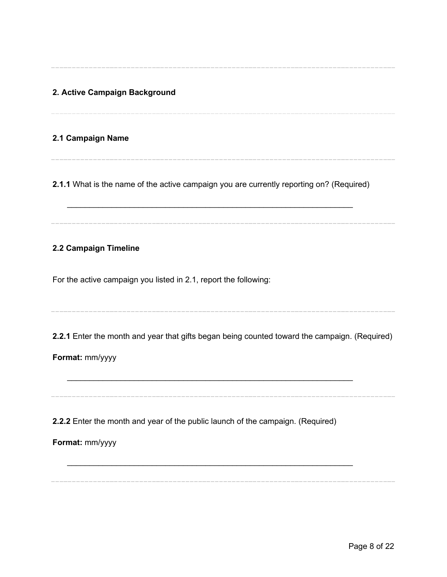**2. Active Campaign Background** 

### **2.1 Campaign Name**

**2.1.1** What is the name of the active campaign you are currently reporting on? (Required)

\_\_\_\_\_\_\_\_\_\_\_\_\_\_\_\_\_\_\_\_\_\_\_\_\_\_\_\_\_\_\_\_\_\_\_\_\_\_\_\_\_\_\_\_\_\_\_\_\_\_\_\_\_\_\_\_\_\_\_\_\_\_\_\_

### **2.2 Campaign Timeline**

For the active campaign you listed in 2.1, report the following:

**2.2.1** Enter the month and year that gifts began being counted toward the campaign. (Required)

\_\_\_\_\_\_\_\_\_\_\_\_\_\_\_\_\_\_\_\_\_\_\_\_\_\_\_\_\_\_\_\_\_\_\_\_\_\_\_\_\_\_\_\_\_\_\_\_\_\_\_\_\_\_\_\_\_\_\_\_\_\_\_\_

**Format:** mm/yyyy

**2.2.2** Enter the month and year of the public launch of the campaign. (Required)

**Format:** mm/yyyy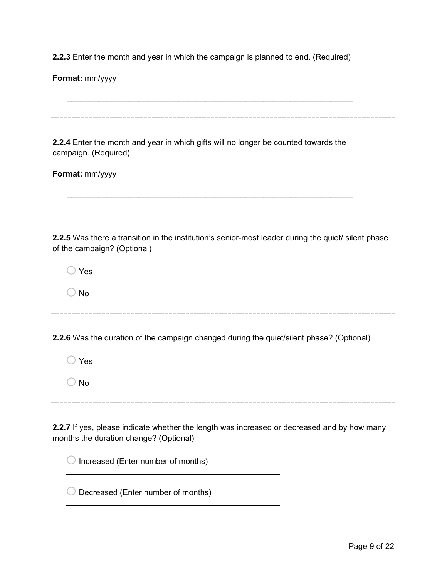**2.2.3** Enter the month and year in which the campaign is planned to end. (Required)

**Format:** mm/yyyy

\_\_\_\_\_\_\_\_\_\_\_\_\_\_\_\_\_\_\_\_\_\_\_\_\_\_\_\_\_\_\_\_\_\_\_\_\_\_\_\_\_\_\_\_\_\_\_\_\_\_\_\_\_\_\_\_\_\_\_\_\_\_\_\_ **2.2.4** Enter the month and year in which gifts will no longer be counted towards the campaign. (Required) **Format:** mm/yyyy \_\_\_\_\_\_\_\_\_\_\_\_\_\_\_\_\_\_\_\_\_\_\_\_\_\_\_\_\_\_\_\_\_\_\_\_\_\_\_\_\_\_\_\_\_\_\_\_\_\_\_\_\_\_\_\_\_\_\_\_\_\_\_\_ **2.2.5** Was there a transition in the institution's senior-most leader during the quiet/ silent phase of the campaign? (Optional)  $\bigcirc$  Yes  $\bigcirc$  No **2.2.6** Was the duration of the campaign changed during the quiet/silent phase? (Optional)  $\bigcirc$  Yes  $\bigcirc$  No **2.2.7** If yes, please indicate whether the length was increased or decreased and by how many months the duration change? (Optional)  $\bigcirc$  Increased (Enter number of months)  $\frac{1}{2}$  ,  $\frac{1}{2}$  ,  $\frac{1}{2}$  ,  $\frac{1}{2}$  ,  $\frac{1}{2}$  ,  $\frac{1}{2}$  ,  $\frac{1}{2}$  ,  $\frac{1}{2}$  ,  $\frac{1}{2}$  ,  $\frac{1}{2}$  ,  $\frac{1}{2}$  ,  $\frac{1}{2}$  ,  $\frac{1}{2}$  ,  $\frac{1}{2}$  ,  $\frac{1}{2}$  ,  $\frac{1}{2}$  ,  $\frac{1}{2}$  ,  $\frac{1}{2}$  ,  $\frac{1$  $\bigcirc$  Decreased (Enter number of months)  $\frac{1}{2}$  , and the set of the set of the set of the set of the set of the set of the set of the set of the set of the set of the set of the set of the set of the set of the set of the set of the set of the set of the set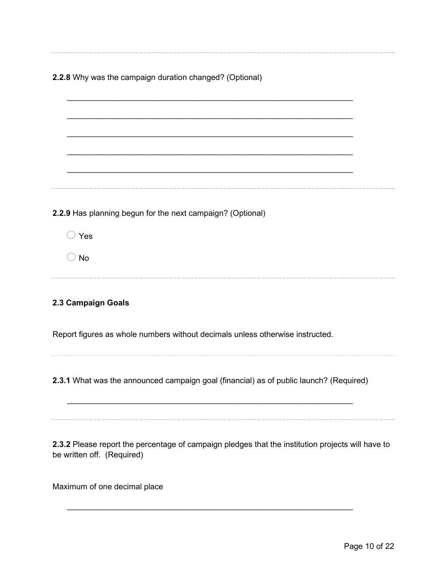| 2.2.8 Why was the campaign duration changed? (Optional)                                                                         |
|---------------------------------------------------------------------------------------------------------------------------------|
| 2.2.9 Has planning begun for the next campaign? (Optional)<br>Yes<br>$\supset$ No                                               |
| 2.3 Campaign Goals<br>Report figures as whole numbers without decimals unless otherwise instructed.                             |
| 2.3.1 What was the announced campaign goal (financial) as of public launch? (Required)                                          |
| 2.3.2 Please report the percentage of campaign pledges that the institution projects will have to<br>be written off. (Required) |

\_\_\_\_\_\_\_\_\_\_\_\_\_\_\_\_\_\_\_\_\_\_\_\_\_\_\_\_\_\_\_\_\_\_\_\_\_\_\_\_\_\_\_\_\_\_\_\_\_\_\_\_\_\_\_\_\_\_\_\_\_\_\_\_

Maximum of one decimal place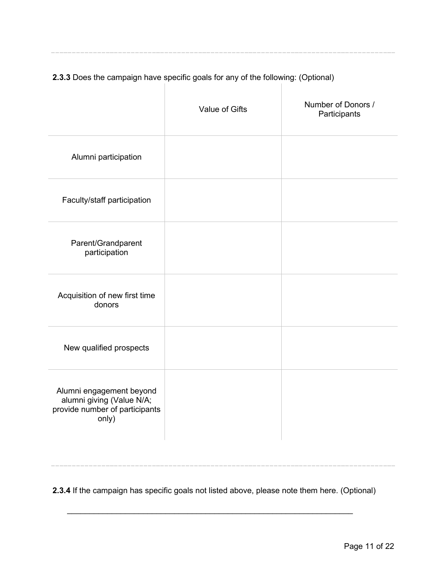# **2.3.3** Does the campaign have specific goals for any of the following: (Optional)

 $\mathbb{R}$ 

- 11

|                                                                                                  | <b>Value of Gifts</b> | Number of Donors /<br>Participants |
|--------------------------------------------------------------------------------------------------|-----------------------|------------------------------------|
| Alumni participation                                                                             |                       |                                    |
| Faculty/staff participation                                                                      |                       |                                    |
| Parent/Grandparent<br>participation                                                              |                       |                                    |
| Acquisition of new first time<br>donors                                                          |                       |                                    |
| New qualified prospects                                                                          |                       |                                    |
| Alumni engagement beyond<br>alumni giving (Value N/A;<br>provide number of participants<br>only) |                       |                                    |

**2.3.4** If the campaign has specific goals not listed above, please note them here. (Optional)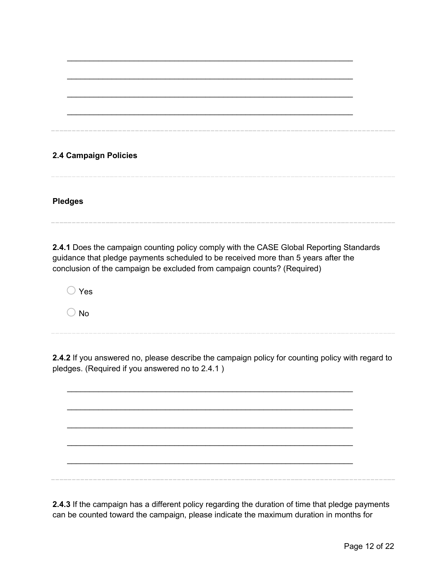# \_\_\_\_\_\_\_\_\_\_\_\_\_\_\_\_\_\_\_\_\_\_\_\_\_\_\_\_\_\_\_\_\_\_\_\_\_\_\_\_\_\_\_\_\_\_\_\_\_\_\_\_\_\_\_\_\_\_\_\_\_\_\_\_ \_\_\_\_\_\_\_\_\_\_\_\_\_\_\_\_\_\_\_\_\_\_\_\_\_\_\_\_\_\_\_\_\_\_\_\_\_\_\_\_\_\_\_\_\_\_\_\_\_\_\_\_\_\_\_\_\_\_\_\_\_\_\_\_ \_\_\_\_\_\_\_\_\_\_\_\_\_\_\_\_\_\_\_\_\_\_\_\_\_\_\_\_\_\_\_\_\_\_\_\_\_\_\_\_\_\_\_\_\_\_\_\_\_\_\_\_\_\_\_\_\_\_\_\_\_\_\_\_

\_\_\_\_\_\_\_\_\_\_\_\_\_\_\_\_\_\_\_\_\_\_\_\_\_\_\_\_\_\_\_\_\_\_\_\_\_\_\_\_\_\_\_\_\_\_\_\_\_\_\_\_\_\_\_\_\_\_\_\_\_\_\_\_

### **2.4 Campaign Policies**

**Pledges**

**2.4.1** Does the campaign counting policy comply with the CASE Global Reporting Standards guidance that pledge payments scheduled to be received more than 5 years after the conclusion of the campaign be excluded from campaign counts? (Required)

 $\bigcirc$  Yes

 $\bigcirc$  No

**2.4.2** If you answered no, please describe the campaign policy for counting policy with regard to pledges. (Required if you answered no to 2.4.1 )

\_\_\_\_\_\_\_\_\_\_\_\_\_\_\_\_\_\_\_\_\_\_\_\_\_\_\_\_\_\_\_\_\_\_\_\_\_\_\_\_\_\_\_\_\_\_\_\_\_\_\_\_\_\_\_\_\_\_\_\_\_\_\_\_ \_\_\_\_\_\_\_\_\_\_\_\_\_\_\_\_\_\_\_\_\_\_\_\_\_\_\_\_\_\_\_\_\_\_\_\_\_\_\_\_\_\_\_\_\_\_\_\_\_\_\_\_\_\_\_\_\_\_\_\_\_\_\_\_ \_\_\_\_\_\_\_\_\_\_\_\_\_\_\_\_\_\_\_\_\_\_\_\_\_\_\_\_\_\_\_\_\_\_\_\_\_\_\_\_\_\_\_\_\_\_\_\_\_\_\_\_\_\_\_\_\_\_\_\_\_\_\_\_ \_\_\_\_\_\_\_\_\_\_\_\_\_\_\_\_\_\_\_\_\_\_\_\_\_\_\_\_\_\_\_\_\_\_\_\_\_\_\_\_\_\_\_\_\_\_\_\_\_\_\_\_\_\_\_\_\_\_\_\_\_\_\_\_ \_\_\_\_\_\_\_\_\_\_\_\_\_\_\_\_\_\_\_\_\_\_\_\_\_\_\_\_\_\_\_\_\_\_\_\_\_\_\_\_\_\_\_\_\_\_\_\_\_\_\_\_\_\_\_\_\_\_\_\_\_\_\_\_

**2.4.3** If the campaign has a different policy regarding the duration of time that pledge payments can be counted toward the campaign, please indicate the maximum duration in months for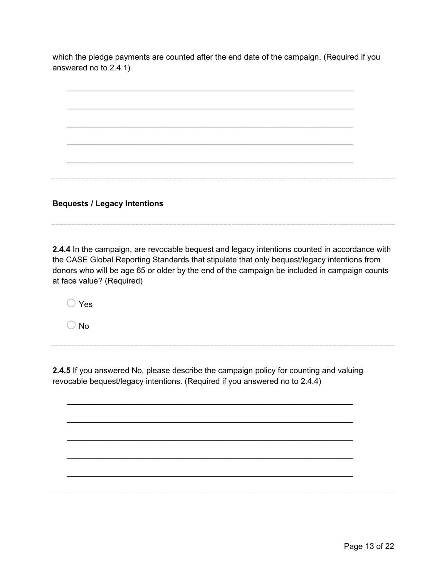which the pledge payments are counted after the end date of the campaign. (Required if you answered no to 2.4.1)



**Bequests / Legacy Intentions** 

**2.4.4** In the campaign, are revocable bequest and legacy intentions counted in accordance with the CASE Global Reporting Standards that stipulate that only bequest/legacy intentions from donors who will be age 65 or older by the end of the campaign be included in campaign counts at face value? (Required)

o Yes

 $\bigcirc$  No

**2.4.5** If you answered No, please describe the campaign policy for counting and valuing revocable bequest/legacy intentions. (Required if you answered no to 2.4.4)

\_\_\_\_\_\_\_\_\_\_\_\_\_\_\_\_\_\_\_\_\_\_\_\_\_\_\_\_\_\_\_\_\_\_\_\_\_\_\_\_\_\_\_\_\_\_\_\_\_\_\_\_\_\_\_\_\_\_\_\_\_\_\_\_

\_\_\_\_\_\_\_\_\_\_\_\_\_\_\_\_\_\_\_\_\_\_\_\_\_\_\_\_\_\_\_\_\_\_\_\_\_\_\_\_\_\_\_\_\_\_\_\_\_\_\_\_\_\_\_\_\_\_\_\_\_\_\_\_

\_\_\_\_\_\_\_\_\_\_\_\_\_\_\_\_\_\_\_\_\_\_\_\_\_\_\_\_\_\_\_\_\_\_\_\_\_\_\_\_\_\_\_\_\_\_\_\_\_\_\_\_\_\_\_\_\_\_\_\_\_\_\_\_

\_\_\_\_\_\_\_\_\_\_\_\_\_\_\_\_\_\_\_\_\_\_\_\_\_\_\_\_\_\_\_\_\_\_\_\_\_\_\_\_\_\_\_\_\_\_\_\_\_\_\_\_\_\_\_\_\_\_\_\_\_\_\_\_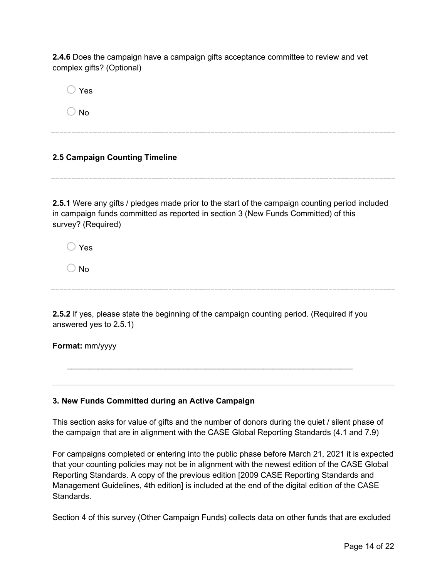**2.4.6** Does the campaign have a campaign gifts acceptance committee to review and vet complex gifts? (Optional)

 $\bigcirc$  Yes

 $\bigcirc$  No

### **2.5 Campaign Counting Timeline**

**2.5.1** Were any gifts / pledges made prior to the start of the campaign counting period included in campaign funds committed as reported in section 3 (New Funds Committed) of this survey? (Required)

 $\bigcap$  Yes

 $\bigcirc$  No

**2.5.2** If yes, please state the beginning of the campaign counting period. (Required if you answered yes to 2.5.1)

\_\_\_\_\_\_\_\_\_\_\_\_\_\_\_\_\_\_\_\_\_\_\_\_\_\_\_\_\_\_\_\_\_\_\_\_\_\_\_\_\_\_\_\_\_\_\_\_\_\_\_\_\_\_\_\_\_\_\_\_\_\_\_\_

**Format:** mm/yyyy

### **3. New Funds Committed during an Active Campaign**

This section asks for value of gifts and the number of donors during the quiet / silent phase of the campaign that are in alignment with the CASE Global Reporting Standards (4.1 and 7.9)

For campaigns completed or entering into the public phase before March 21, 2021 it is expected that your counting policies may not be in alignment with the newest edition of the CASE Global Reporting Standards. A copy of the previous edition [2009 CASE Reporting Standards and Management Guidelines, 4th edition] is included at the end of the digital edition of the CASE Standards.

Section 4 of this survey (Other Campaign Funds) collects data on other funds that are excluded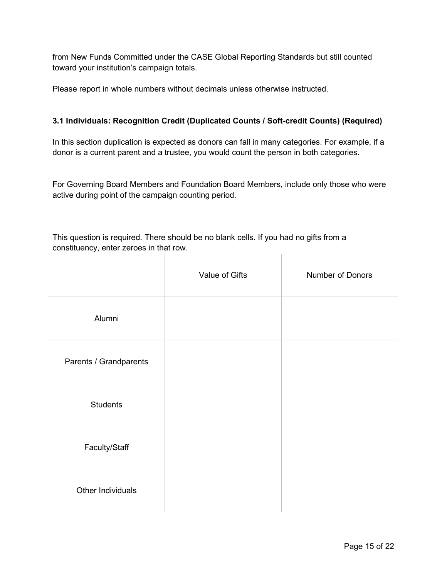from New Funds Committed under the CASE Global Reporting Standards but still counted toward your institution's campaign totals.

Please report in whole numbers without decimals unless otherwise instructed.

### **3.1 Individuals: Recognition Credit (Duplicated Counts / Soft-credit Counts) (Required)**

In this section duplication is expected as donors can fall in many categories. For example, if a donor is a current parent and a trustee, you would count the person in both categories.

For Governing Board Members and Foundation Board Members, include only those who were active during point of the campaign counting period.

This question is required. There should be no blank cells. If you had no gifts from a constituency, enter zeroes in that row.

|                        | Value of Gifts | Number of Donors |
|------------------------|----------------|------------------|
| Alumni                 |                |                  |
| Parents / Grandparents |                |                  |
| <b>Students</b>        |                |                  |
| Faculty/Staff          |                |                  |
| Other Individuals      |                |                  |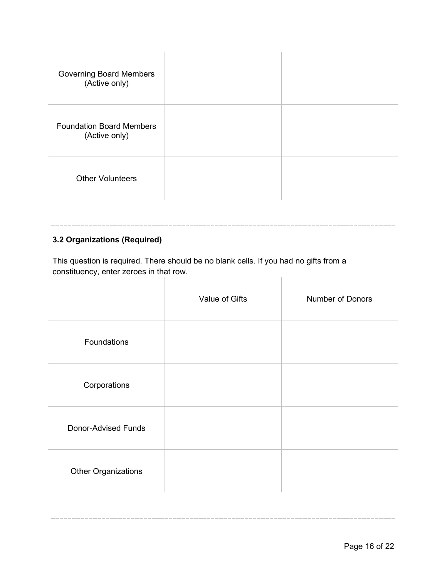| <b>Governing Board Members</b><br>(Active only)  |  |
|--------------------------------------------------|--|
| <b>Foundation Board Members</b><br>(Active only) |  |
| <b>Other Volunteers</b>                          |  |

### **3.2 Organizations (Required)**

This question is required. There should be no blank cells. If you had no gifts from a constituency, enter zeroes in that row.

Т.

|                            | Value of Gifts | Number of Donors |
|----------------------------|----------------|------------------|
| Foundations                |                |                  |
| Corporations               |                |                  |
| <b>Donor-Advised Funds</b> |                |                  |
| <b>Other Organizations</b> |                |                  |
|                            |                |                  |

 $\begin{array}{c} \hline \end{array}$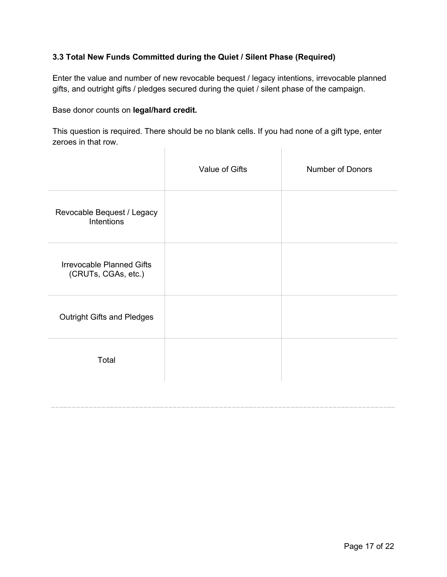### **3.3 Total New Funds Committed during the Quiet / Silent Phase (Required)**

Enter the value and number of new revocable bequest / legacy intentions, irrevocable planned gifts, and outright gifts / pledges secured during the quiet / silent phase of the campaign.

Base donor counts on **legal/hard credit.**

This question is required. There should be no blank cells. If you had none of a gift type, enter zeroes in that row.  $\mathbb{R}$  $\begin{array}{c} \hline \end{array}$ 

|                                                         | Value of Gifts | Number of Donors |
|---------------------------------------------------------|----------------|------------------|
| Revocable Bequest / Legacy<br>Intentions                |                |                  |
| <b>Irrevocable Planned Gifts</b><br>(CRUTs, CGAs, etc.) |                |                  |
| <b>Outright Gifts and Pledges</b>                       |                |                  |
| Total                                                   |                |                  |
|                                                         |                |                  |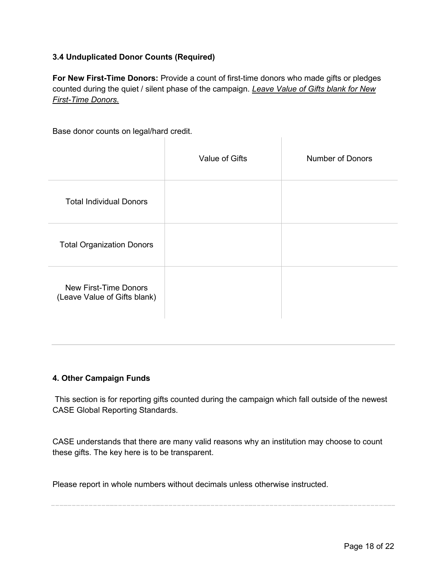### **3.4 Unduplicated Donor Counts (Required)**

**For New First-Time Donors:** Provide a count of first-time donors who made gifts or pledges counted during the quiet / silent phase of the campaign. *Leave Value of Gifts blank for New First-Time Donors.*

Base donor counts on legal/hard credit.

|                                                              | Value of Gifts | <b>Number of Donors</b> |
|--------------------------------------------------------------|----------------|-------------------------|
| <b>Total Individual Donors</b>                               |                |                         |
| <b>Total Organization Donors</b>                             |                |                         |
| <b>New First-Time Donors</b><br>(Leave Value of Gifts blank) |                |                         |

### **4. Other Campaign Funds**

This section is for reporting gifts counted during the campaign which fall outside of the newest CASE Global Reporting Standards.

CASE understands that there are many valid reasons why an institution may choose to count these gifts. The key here is to be transparent.

Please report in whole numbers without decimals unless otherwise instructed.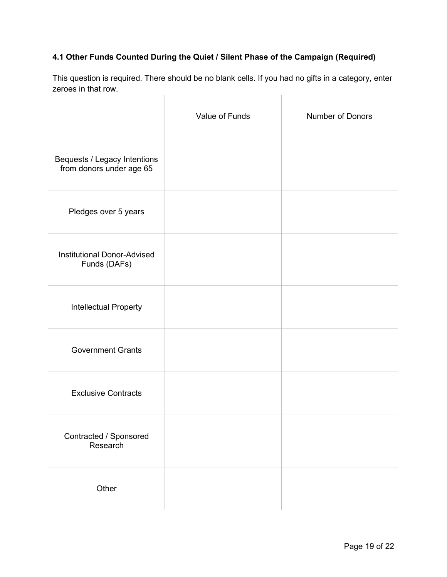### **4.1 Other Funds Counted During the Quiet / Silent Phase of the Campaign (Required)**

This question is required. There should be no blank cells. If you had no gifts in a category, enter zeroes in that row.  $\begin{array}{c} \hline \end{array}$  $\begin{array}{c} \hline \end{array}$ 

|                                                          | Value of Funds | Number of Donors |
|----------------------------------------------------------|----------------|------------------|
| Bequests / Legacy Intentions<br>from donors under age 65 |                |                  |
| Pledges over 5 years                                     |                |                  |
| <b>Institutional Donor-Advised</b><br>Funds (DAFs)       |                |                  |
| <b>Intellectual Property</b>                             |                |                  |
| <b>Government Grants</b>                                 |                |                  |
| <b>Exclusive Contracts</b>                               |                |                  |
| Contracted / Sponsored<br>Research                       |                |                  |
| Other                                                    |                |                  |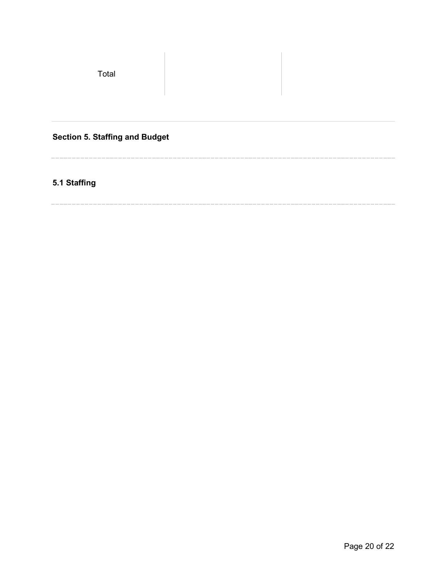Total

# **Section 5. Staffing and Budget**

# **5.1 Staffing**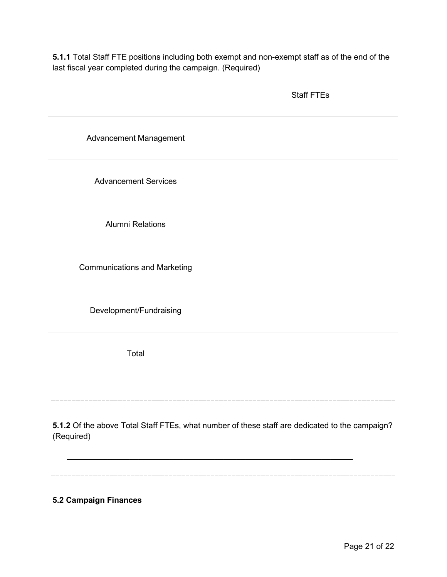**5.1.1** Total Staff FTE positions including both exempt and non-exempt staff as of the end of the last fiscal year completed during the campaign. (Required)

|                                     | <b>Staff FTEs</b> |
|-------------------------------------|-------------------|
| Advancement Management              |                   |
| <b>Advancement Services</b>         |                   |
| <b>Alumni Relations</b>             |                   |
| <b>Communications and Marketing</b> |                   |
| Development/Fundraising             |                   |
| Total                               |                   |
|                                     |                   |

**5.1.2** Of the above Total Staff FTEs, what number of these staff are dedicated to the campaign? (Required)

\_\_\_\_\_\_\_\_\_\_\_\_\_\_\_\_\_\_\_\_\_\_\_\_\_\_\_\_\_\_\_\_\_\_\_\_\_\_\_\_\_\_\_\_\_\_\_\_\_\_\_\_\_\_\_\_\_\_\_\_\_\_\_\_

**5.2 Campaign Finances**